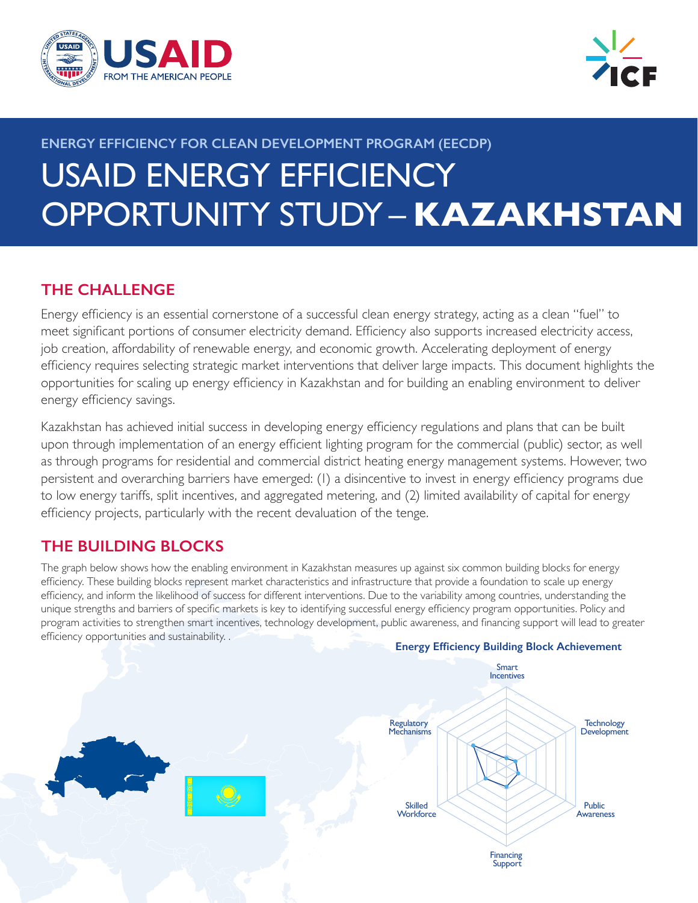



# **ENERGY EFFICIENCY FOR CLEAN DEVELOPMENT PROGRAM (EECDP)** USAID ENERGY EFFICIENCY OPPORTUNITY STUDY – **KAZAKHSTAN**

# **THE CHALLENGE**

Energy efficiency is an essential cornerstone of a successful clean energy strategy, acting as a clean "fuel" to meet significant portions of consumer electricity demand. Efficiency also supports increased electricity access, job creation, affordability of renewable energy, and economic growth. Accelerating deployment of energy efficiency requires selecting strategic market interventions that deliver large impacts. This document highlights the opportunities for scaling up energy efficiency in Kazakhstan and for building an enabling environment to deliver energy efficiency savings.

Kazakhstan has achieved initial success in developing energy efficiency regulations and plans that can be built upon through implementation of an energy efficient lighting program for the commercial (public) sector, as well as through programs for residential and commercial district heating energy management systems. However, two persistent and overarching barriers have emerged: (1) a disincentive to invest in energy efficiency programs due to low energy tariffs, split incentives, and aggregated metering, and (2) limited availability of capital for energy efficiency projects, particularly with the recent devaluation of the tenge.

# **THE BUILDING BLOCKS**

The graph below shows how the enabling environment in Kazakhstan measures up against six common building blocks for energy efficiency. These building blocks represent market characteristics and infrastructure that provide a foundation to scale up energy efficiency, and inform the likelihood of success for different interventions. Due to the variability among countries, understanding the unique strengths and barriers of specific markets is key to identifying successful energy efficiency program opportunities. Policy and program activities to strengthen smart incentives, technology development, public awareness, and financing support will lead to greater efficiency opportunities and sustainability. .